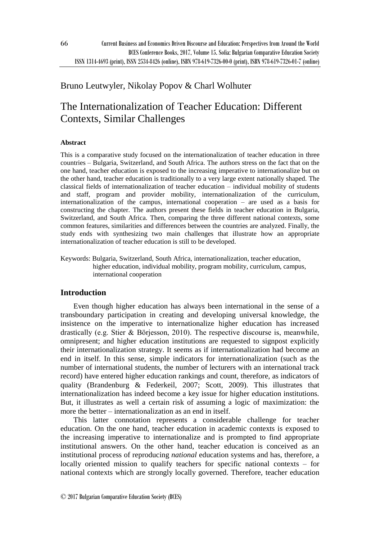## Bruno Leutwyler, Nikolay Popov & Charl Wolhuter

# The Internationalization of Teacher Education: Different Contexts, Similar Challenges

## **Abstract**

This is a comparative study focused on the internationalization of teacher education in three countries – Bulgaria, Switzerland, and South Africa. The authors stress on the fact that on the one hand, teacher education is exposed to the increasing imperative to internationalize but on the other hand, teacher education is traditionally to a very large extent nationally shaped. The classical fields of internationalization of teacher education – individual mobility of students and staff, program and provider mobility, internationalization of the curriculum, internationalization of the campus, international cooperation – are used as a basis for constructing the chapter. The authors present these fields in teacher education in Bulgaria, Switzerland, and South Africa. Then, comparing the three different national contexts, some common features, similarities and differences between the countries are analyzed. Finally, the study ends with synthesizing two main challenges that illustrate how an appropriate internationalization of teacher education is still to be developed.

Keywords: Bulgaria, Switzerland, South Africa, internationalization, teacher education, higher education, individual mobility, program mobility, curriculum, campus, international cooperation

## **Introduction**

Even though higher education has always been international in the sense of a transboundary participation in creating and developing universal knowledge, the insistence on the imperative to internationalize higher education has increased drastically (e.g. Stier & Börjesson, 2010). The respective discourse is, meanwhile, omnipresent; and higher education institutions are requested to signpost explicitly their internationalization strategy. It seems as if internationalization had become an end in itself. In this sense, simple indicators for internationalization (such as the number of international students, the number of lecturers with an international track record) have entered higher education rankings and count, therefore, as indicators of quality (Brandenburg & Federkeil, 2007; Scott, 2009). This illustrates that internationalization has indeed become a key issue for higher education institutions. But, it illustrates as well a certain risk of assuming a logic of maximization: the more the better – internationalization as an end in itself.

This latter connotation represents a considerable challenge for teacher education. On the one hand, teacher education in academic contexts is exposed to the increasing imperative to internationalize and is prompted to find appropriate institutional answers. On the other hand, teacher education is conceived as an institutional process of reproducing *national* education systems and has, therefore, a locally oriented mission to qualify teachers for specific national contexts – for national contexts which are strongly locally governed. Therefore, teacher education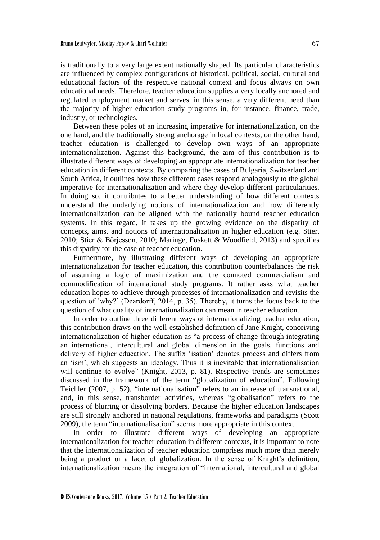is traditionally to a very large extent nationally shaped. Its particular characteristics are influenced by complex configurations of historical, political, social, cultural and educational factors of the respective national context and focus always on own educational needs. Therefore, teacher education supplies a very locally anchored and regulated employment market and serves, in this sense, a very different need than the majority of higher education study programs in, for instance, finance, trade, industry, or technologies.

Between these poles of an increasing imperative for internationalization, on the one hand, and the traditionally strong anchorage in local contexts, on the other hand, teacher education is challenged to develop own ways of an appropriate internationalization. Against this background, the aim of this contribution is to illustrate different ways of developing an appropriate internationalization for teacher education in different contexts. By comparing the cases of Bulgaria, Switzerland and South Africa, it outlines how these different cases respond analogously to the global imperative for internationalization and where they develop different particularities. In doing so, it contributes to a better understanding of how different contexts understand the underlying notions of internationalization and how differently internationalization can be aligned with the nationally bound teacher education systems. In this regard, it takes up the growing evidence on the disparity of concepts, aims, and notions of internationalization in higher education (e.g. Stier, 2010; Stier & Börjesson, 2010; Maringe, Foskett & Woodfield, 2013) and specifies this disparity for the case of teacher education.

Furthermore, by illustrating different ways of developing an appropriate internationalization for teacher education, this contribution counterbalances the risk of assuming a logic of maximization and the connoted commercialism and commodification of international study programs. It rather asks what teacher education hopes to achieve through processes of internationalization and revisits the question of 'why?' (Deardorff, 2014, p. 35). Thereby, it turns the focus back to the question of what quality of internationalization can mean in teacher education.

In order to outline three different ways of internationalizing teacher education, this contribution draws on the well-established definition of Jane Knight, conceiving internationalization of higher education as "a process of change through integrating an international, intercultural and global dimension in the goals, functions and delivery of higher education. The suffix 'isation' denotes process and differs from an 'ism', which suggests an ideology. Thus it is inevitable that internationalisation will continue to evolve" (Knight, 2013, p. 81). Respective trends are sometimes discussed in the framework of the term "globalization of education". Following Teichler (2007, p. 52), "internationalisation" refers to an increase of transnational, and, in this sense, transborder activities, whereas "globalisation" refers to the process of blurring or dissolving borders. Because the higher education landscapes are still strongly anchored in national regulations, frameworks and paradigms (Scott 2009), the term "internationalisation" seems more appropriate in this context.

In order to illustrate different ways of developing an appropriate internationalization for teacher education in different contexts, it is important to note that the internationalization of teacher education comprises much more than merely being a product or a facet of globalization. In the sense of Knight's definition, internationalization means the integration of "international, intercultural and global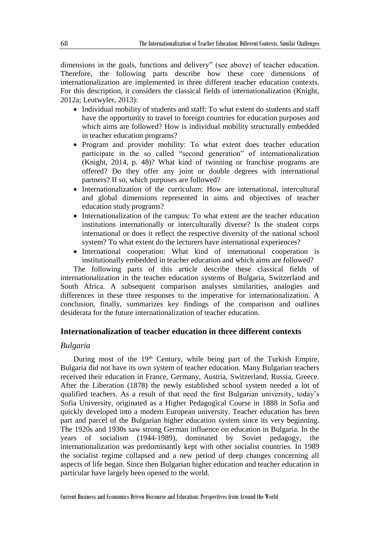dimensions in the goals, functions and delivery" (see above) of teacher education. Therefore, the following parts describe how these core dimensions of internationalization are implemented in three different teacher education contexts. For this description, it considers the classical fields of internationalization (Knight, 2012a; Leutwyler, 2013):

- Individual mobility of students and staff: To what extent do students and staff have the opportunity to travel to foreign countries for education purposes and which aims are followed? How is individual mobility structurally embedded in teacher education programs?
- Program and provider mobility: To what extent does teacher education participate in the so called "second generation" of internationalization (Knight, 2014, p. 48)? What kind of twinning or franchise programs are offered? Do they offer any joint or double degrees with international partners? If so, which purposes are followed?
- Internationalization of the curriculum: How are international, intercultural and global dimensions represented in aims and objectives of teacher education study programs?
- Internationalization of the campus: To what extent are the teacher education institutions internationally or interculturally diverse? Is the student corps international or does it reflect the respective diversity of the national school system? To what extent do the lecturers have international experiences?
- International cooperation: What kind of international cooperation is institutionally embedded in teacher education and which aims are followed?

The following parts of this article describe these classical fields of internationalization in the teacher education systems of Bulgaria, Switzerland and South Africa. A subsequent comparison analyses similarities, analogies and differences in these three responses to the imperative for internationalization. A conclusion, finally, summarizes key findings of the comparison and outlines desiderata for the future internationalization of teacher education.

## **Internationalization of teacher education in three different contexts**

#### *Bulgaria*

During most of the 19<sup>th</sup> Century, while being part of the Turkish Empire, Bulgaria did not have its own system of teacher education. Many Bulgarian teachers received their education in France, Germany, Austria, Switzerland, Russia, Greece. After the Liberation (1878) the newly established school system needed a lot of qualified teachers. As a result of that need the first Bulgarian university, today's Sofia University, originated as a Higher Pedagogical Course in 1888 in Sofia and quickly developed into a modern European university. Teacher education has been part and parcel of the Bulgarian higher education system since its very beginning. The 1920s and 1930s saw strong German influence on education in Bulgaria. In the years of socialism (1944-1989), dominated by Soviet pedagogy, the internationalization was predominantly kept with other socialist countries. In 1989 the socialist regime collapsed and a new period of deep changes concerning all aspects of life began. Since then Bulgarian higher education and teacher education in particular have largely been opened to the world.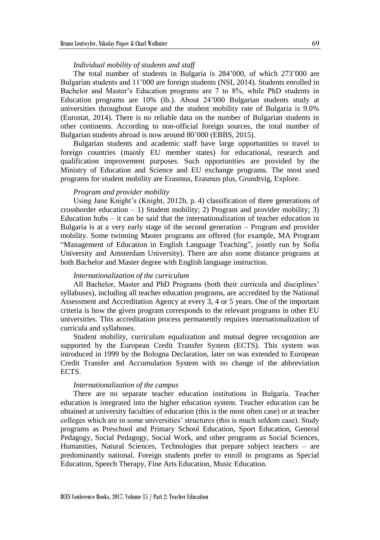#### *Individual mobility of students and staff*

The total number of students in Bulgaria is 284'000, of which 273'000 are Bulgarian students and 11'000 are foreign students (NSI, 2014). Students enrolled in Bachelor and Master's Education programs are 7 to 8%, while PhD students in Education programs are 10% (ib.). About 24'000 Bulgarian students study at universities throughout Europe and the student mobility rate of Bulgaria is 9.0% (Eurostat, 2014). There is no reliable data on the number of Bulgarian students in other continents. According to non-official foreign sources, the total number of Bulgarian students abroad is now around 80'000 (EBBS, 2015).

Bulgarian students and academic staff have large opportunities to travel to foreign countries (mainly EU member states) for educational, research and qualification improvement purposes. Such opportunities are provided by the Ministry of Education and Science and EU exchange programs. The most used programs for student mobility are Erasmus, Erasmus plus, Grundtvig, Explore.

#### *Program and provider mobility*

Using Jane Knight's (Knight, 2012b, p. 4) classification of three generations of crossborder education  $-1$ ) Student mobility; 2) Program and provider mobility; 3) Education hubs – it can be said that the internationalization of teacher education in Bulgaria is at a very early stage of the second generation – Program and provider mobility. Some twinning Master programs are offered (for example, MA Program "Management of Education in English Language Teaching", jointly run by Sofia University and Amsterdam University). There are also some distance programs at both Bachelor and Master degree with English language instruction.

#### *Internationalization of the curriculum*

All Bachelor, Master and PhD Programs (both their curricula and disciplines' syllabuses), including all teacher education programs, are accredited by the National Assessment and Accreditation Agency at every 3, 4 or 5 years. One of the important criteria is how the given program corresponds to the relevant programs in other EU universities. This accreditation process permanently requires internationalization of curricula and syllabuses.

Student mobility, curriculum equalization and mutual degree recognition are supported by the European Credit Transfer System (ECTS). This system was introduced in 1999 by the Bologna Declaration, later on was extended to European Credit Transfer and Accumulation System with no change of the abbreviation ECTS.

#### *Internationalization of the campus*

There are no separate teacher education institutions in Bulgaria. Teacher education is integrated into the higher education system. Teacher education can be obtained at university faculties of education (this is the most often case) or at teacher colleges which are in some universities' structures (this is much seldom case). Study programs as Preschool and Primary School Education, Sport Education, General Pedagogy, Social Pedagogy, Social Work, and other programs as Social Sciences, Humanities, Natural Sciences, Technologies that prepare subject teachers – are predominantly national. Foreign students prefer to enroll in programs as Special Education, Speech Therapy, Fine Arts Education, Music Education.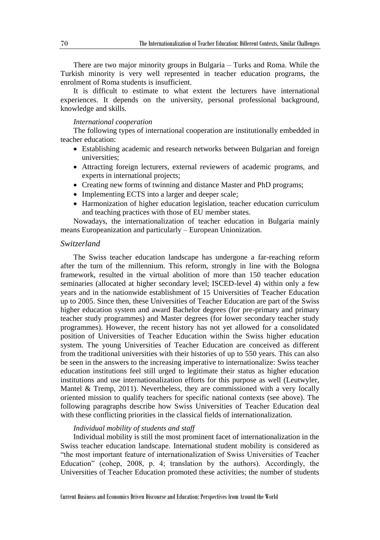There are two major minority groups in Bulgaria – Turks and Roma. While the Turkish minority is very well represented in teacher education programs, the enrolment of Roma students is insufficient.

It is difficult to estimate to what extent the lecturers have international experiences. It depends on the university, personal professional background, knowledge and skills.

#### *International cooperation*

The following types of international cooperation are institutionally embedded in teacher education:

- Establishing academic and research networks between Bulgarian and foreign universities;
- Attracting foreign lecturers, external reviewers of academic programs, and experts in international projects;
- Creating new forms of twinning and distance Master and PhD programs;
- Implementing ECTS into a larger and deeper scale;
- Harmonization of higher education legislation, teacher education curriculum and teaching practices with those of EU member states.

Nowadays, the internationalization of teacher education in Bulgaria mainly means Europeanization and particularly – European Unionization.

#### *Switzerland*

The Swiss teacher education landscape has undergone a far-reaching reform after the turn of the millennium. This reform, strongly in line with the Bologna framework, resulted in the virtual abolition of more than 150 teacher education seminaries (allocated at higher secondary level; ISCED-level 4) within only a few years and in the nationwide establishment of 15 Universities of Teacher Education up to 2005. Since then, these Universities of Teacher Education are part of the Swiss higher education system and award Bachelor degrees (for pre-primary and primary teacher study programmes) and Master degrees (for lower secondary teacher study programmes). However, the recent history has not yet allowed for a consolidated position of Universities of Teacher Education within the Swiss higher education system. The young Universities of Teacher Education are conceived as different from the traditional universities with their histories of up to 550 years. This can also be seen in the answers to the increasing imperative to internationalize: Swiss teacher education institutions feel still urged to legitimate their status as higher education institutions and use internationalization efforts for this purpose as well (Leutwyler, Mantel & Tremp, 2011). Nevertheless, they are commissioned with a very locally oriented mission to qualify teachers for specific national contexts (see above). The following paragraphs describe how Swiss Universities of Teacher Education deal with these conflicting priorities in the classical fields of internationalization.

#### *Individual mobility of students and staff*

Individual mobility is still the most prominent facet of internationalization in the Swiss teacher education landscape. International student mobility is considered as "the most important feature of internationalization of Swiss Universities of Teacher Education" (cohep, 2008, p. 4; translation by the authors). Accordingly, the Universities of Teacher Education promoted these activities; the number of students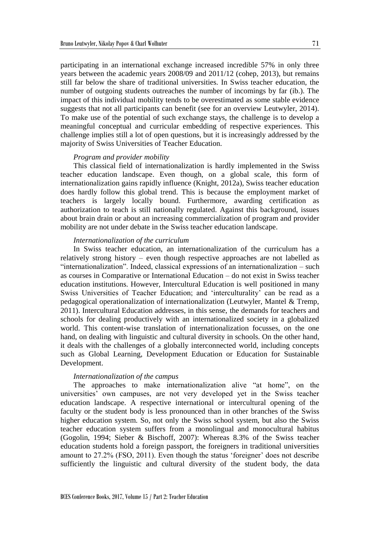participating in an international exchange increased incredible 57% in only three years between the academic years 2008/09 and 2011/12 (cohep, 2013), but remains still far below the share of traditional universities. In Swiss teacher education, the number of outgoing students outreaches the number of incomings by far (ib.). The impact of this individual mobility tends to be overestimated as some stable evidence suggests that not all participants can benefit (see for an overview Leutwyler, 2014). To make use of the potential of such exchange stays, the challenge is to develop a meaningful conceptual and curricular embedding of respective experiences. This challenge implies still a lot of open questions, but it is increasingly addressed by the majority of Swiss Universities of Teacher Education.

#### *Program and provider mobility*

This classical field of internationalization is hardly implemented in the Swiss teacher education landscape. Even though, on a global scale, this form of internationalization gains rapidly influence (Knight, 2012a), Swiss teacher education does hardly follow this global trend. This is because the employment market of teachers is largely locally bound. Furthermore, awarding certification as authorization to teach is still nationally regulated. Against this background, issues about brain drain or about an increasing commercialization of program and provider mobility are not under debate in the Swiss teacher education landscape.

#### *Internationalization of the curriculum*

In Swiss teacher education, an internationalization of the curriculum has a relatively strong history – even though respective approaches are not labelled as "internationalization". Indeed, classical expressions of an internationalization – such as courses in Comparative or International Education – do not exist in Swiss teacher education institutions. However, Intercultural Education is well positioned in many Swiss Universities of Teacher Education; and 'interculturality' can be read as a pedagogical operationalization of internationalization (Leutwyler, Mantel & Tremp, 2011). Intercultural Education addresses, in this sense, the demands for teachers and schools for dealing productively with an internationalized society in a globalized world. This content-wise translation of internationalization focusses, on the one hand, on dealing with linguistic and cultural diversity in schools. On the other hand, it deals with the challenges of a globally interconnected world, including concepts such as Global Learning, Development Education or Education for Sustainable Development.

#### *Internationalization of the campus*

The approaches to make internationalization alive "at home", on the universities' own campuses, are not very developed yet in the Swiss teacher education landscape. A respective international or intercultural opening of the faculty or the student body is less pronounced than in other branches of the Swiss higher education system. So, not only the Swiss school system, but also the Swiss teacher education system suffers from a monolingual and monocultural habitus (Gogolin, 1994; Sieber & Bischoff, 2007): Whereas 8.3% of the Swiss teacher education students hold a foreign passport, the foreigners in traditional universities amount to 27.2% (FSO, 2011). Even though the status 'foreigner' does not describe sufficiently the linguistic and cultural diversity of the student body, the data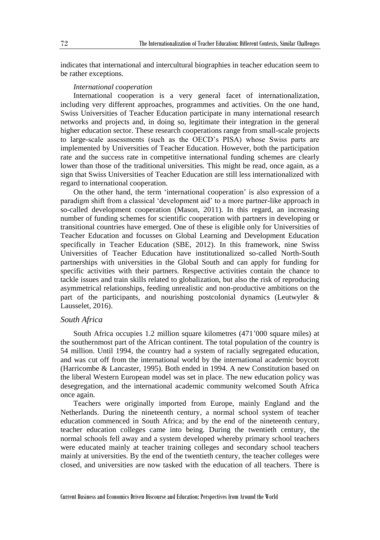indicates that international and intercultural biographies in teacher education seem to be rather exceptions.

#### *International cooperation*

International cooperation is a very general facet of internationalization, including very different approaches, programmes and activities. On the one hand, Swiss Universities of Teacher Education participate in many international research networks and projects and, in doing so, legitimate their integration in the general higher education sector. These research cooperations range from small-scale projects to large-scale assessments (such as the OECD's PISA) whose Swiss parts are implemented by Universities of Teacher Education. However, both the participation rate and the success rate in competitive international funding schemes are clearly lower than those of the traditional universities. This might be read, once again, as a sign that Swiss Universities of Teacher Education are still less internationalized with regard to international cooperation.

On the other hand, the term 'international cooperation' is also expression of a paradigm shift from a classical 'development aid' to a more partner-like approach in so-called development cooperation (Mason, 2011). In this regard, an increasing number of funding schemes for scientific cooperation with partners in developing or transitional countries have emerged. One of these is eligible only for Universities of Teacher Education and focusses on Global Learning and Development Education specifically in Teacher Education (SBE, 2012). In this framework, nine Swiss Universities of Teacher Education have institutionalized so-called North-South partnerships with universities in the Global South and can apply for funding for specific activities with their partners. Respective activities contain the chance to tackle issues and train skills related to globalization, but also the risk of reproducing asymmetrical relationships, feeding unrealistic and non-productive ambitions on the part of the participants, and nourishing postcolonial dynamics (Leutwyler & Lausselet, 2016).

#### *South Africa*

South Africa occupies 1.2 million square kilometres (471'000 square miles) at the southernmost part of the African continent. The total population of the country is 54 million. Until 1994, the country had a system of racially segregated education, and was cut off from the international world by the international academic boycott (Harricombe & Lancaster, 1995). Both ended in 1994. A new Constitution based on the liberal Western European model was set in place. The new education policy was desegregation, and the international academic community welcomed South Africa once again.

Teachers were originally imported from Europe, mainly England and the Netherlands. During the nineteenth century, a normal school system of teacher education commenced in South Africa; and by the end of the nineteenth century, teacher education colleges came into being. During the twentieth century, the normal schools fell away and a system developed whereby primary school teachers were educated mainly at teacher training colleges and secondary school teachers mainly at universities. By the end of the twentieth century, the teacher colleges were closed, and universities are now tasked with the education of all teachers. There is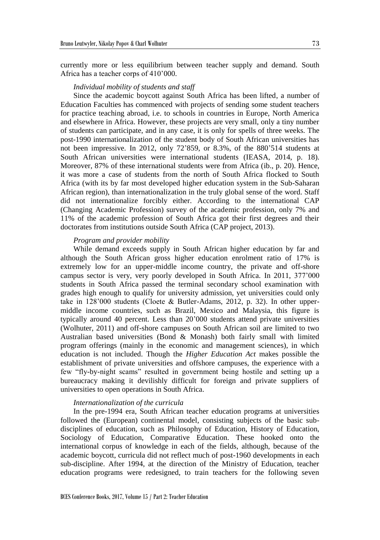currently more or less equilibrium between teacher supply and demand. South Africa has a teacher corps of 410'000.

#### *Individual mobility of students and staff*

Since the academic boycott against South Africa has been lifted, a number of Education Faculties has commenced with projects of sending some student teachers for practice teaching abroad, i.e. to schools in countries in Europe, North America and elsewhere in Africa. However, these projects are very small, only a tiny number of students can participate, and in any case, it is only for spells of three weeks. The post-1990 internationalization of the student body of South African universities has not been impressive. In 2012, only 72'859, or 8.3%, of the 880'514 students at South African universities were international students (IEASA, 2014, p. 18). Moreover, 87% of these international students were from Africa (ib., p. 20). Hence, it was more a case of students from the north of South Africa flocked to South Africa (with its by far most developed higher education system in the Sub-Saharan African region), than internationalization in the truly global sense of the word. Staff did not internationalize forcibly either. According to the international CAP (Changing Academic Profession) survey of the academic profession, only 7% and 11% of the academic profession of South Africa got their first degrees and their doctorates from institutions outside South Africa (CAP project, 2013).

#### *Program and provider mobility*

While demand exceeds supply in South African higher education by far and although the South African gross higher education enrolment ratio of 17% is extremely low for an upper-middle income country, the private and off-shore campus sector is very, very poorly developed in South Africa. In 2011, 377'000 students in South Africa passed the terminal secondary school examination with grades high enough to qualify for university admission, yet universities could only take in 128'000 students (Cloete & Butler-Adams, 2012, p. 32). In other uppermiddle income countries, such as Brazil, Mexico and Malaysia, this figure is typically around 40 percent. Less than 20'000 students attend private universities (Wolhuter, 2011) and off-shore campuses on South African soil are limited to two Australian based universities (Bond & Monash) both fairly small with limited program offerings (mainly in the economic and management sciences), in which education is not included. Though the *Higher Education Act* makes possible the establishment of private universities and offshore campuses, the experience with a few "fly-by-night scams" resulted in government being hostile and setting up a bureaucracy making it devilishly difficult for foreign and private suppliers of universities to open operations in South Africa.

#### *Internationalization of the curricula*

In the pre-1994 era, South African teacher education programs at universities followed the (European) continental model, consisting subjects of the basic subdisciplines of education, such as Philosophy of Education, History of Education, Sociology of Education, Comparative Education. These hooked onto the international corpus of knowledge in each of the fields, although, because of the academic boycott, curricula did not reflect much of post-1960 developments in each sub-discipline. After 1994, at the direction of the Ministry of Education, teacher education programs were redesigned, to train teachers for the following seven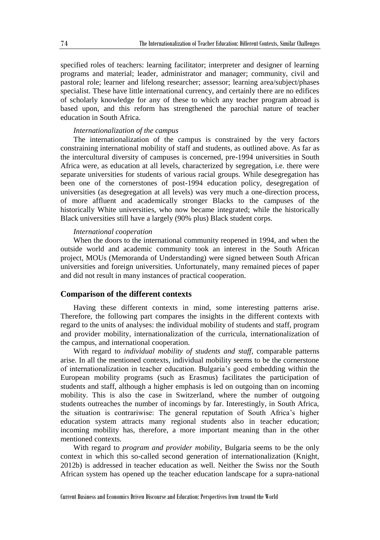specified roles of teachers: learning facilitator; interpreter and designer of learning programs and material; leader, administrator and manager; community, civil and pastoral role; learner and lifelong researcher; assessor; learning area/subject/phases specialist. These have little international currency, and certainly there are no edifices of scholarly knowledge for any of these to which any teacher program abroad is based upon, and this reform has strengthened the parochial nature of teacher education in South Africa.

#### *Internationalization of the campus*

The internationalization of the campus is constrained by the very factors constraining international mobility of staff and students, as outlined above. As far as the intercultural diversity of campuses is concerned, pre-1994 universities in South Africa were, as education at all levels, characterized by segregation, i.e. there were separate universities for students of various racial groups. While desegregation has been one of the cornerstones of post-1994 education policy, desegregation of universities (as desegregation at all levels) was very much a one-direction process, of more affluent and academically stronger Blacks to the campuses of the historically White universities, who now became integrated; while the historically Black universities still have a largely (90% plus) Black student corps.

#### *International cooperation*

When the doors to the international community reopened in 1994, and when the outside world and academic community took an interest in the South African project, MOUs (Memoranda of Understanding) were signed between South African universities and foreign universities. Unfortunately, many remained pieces of paper and did not result in many instances of practical cooperation.

#### **Comparison of the different contexts**

Having these different contexts in mind, some interesting patterns arise. Therefore, the following part compares the insights in the different contexts with regard to the units of analyses: the individual mobility of students and staff, program and provider mobility, internationalization of the curricula, internationalization of the campus, and international cooperation.

With regard to *individual mobility of students and staff*, comparable patterns arise. In all the mentioned contexts, individual mobility seems to be the cornerstone of internationalization in teacher education. Bulgaria's good embedding within the European mobility programs (such as Erasmus) facilitates the participation of students and staff, although a higher emphasis is led on outgoing than on incoming mobility. This is also the case in Switzerland, where the number of outgoing students outreaches the number of incomings by far. Interestingly, in South Africa, the situation is contrariwise: The general reputation of South Africa's higher education system attracts many regional students also in teacher education; incoming mobility has, therefore, a more important meaning than in the other mentioned contexts.

With regard to *program and provider mobility*, Bulgaria seems to be the only context in which this so-called second generation of internationalization (Knight, 2012b) is addressed in teacher education as well. Neither the Swiss nor the South African system has opened up the teacher education landscape for a supra-national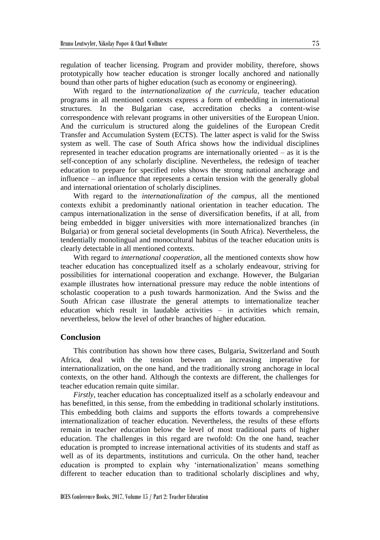regulation of teacher licensing. Program and provider mobility, therefore, shows prototypically how teacher education is stronger locally anchored and nationally bound than other parts of higher education (such as economy or engineering).

With regard to the *internationalization of the curricula*, teacher education programs in all mentioned contexts express a form of embedding in international structures. In the Bulgarian case, accreditation checks a content-wise correspondence with relevant programs in other universities of the European Union. And the curriculum is structured along the guidelines of the European Credit Transfer and Accumulation System (ECTS). The latter aspect is valid for the Swiss system as well. The case of South Africa shows how the individual disciplines represented in teacher education programs are internationally oriented – as it is the self-conception of any scholarly discipline. Nevertheless, the redesign of teacher education to prepare for specified roles shows the strong national anchorage and influence – an influence that represents a certain tension with the generally global and international orientation of scholarly disciplines.

With regard to the *internationalization of the campus*, all the mentioned contexts exhibit a predominantly national orientation in teacher education. The campus internationalization in the sense of diversification benefits, if at all, from being embedded in bigger universities with more internationalized branches (in Bulgaria) or from general societal developments (in South Africa). Nevertheless, the tendentially monolingual and monocultural habitus of the teacher education units is clearly detectable in all mentioned contexts.

With regard to *international cooperation*, all the mentioned contexts show how teacher education has conceptualized itself as a scholarly endeavour, striving for possibilities for international cooperation and exchange. However, the Bulgarian example illustrates how international pressure may reduce the noble intentions of scholastic cooperation to a push towards harmonization. And the Swiss and the South African case illustrate the general attempts to internationalize teacher education which result in laudable activities – in activities which remain, nevertheless, below the level of other branches of higher education.

## **Conclusion**

This contribution has shown how three cases, Bulgaria, Switzerland and South Africa, deal with the tension between an increasing imperative for internationalization, on the one hand, and the traditionally strong anchorage in local contexts, on the other hand. Although the contexts are different, the challenges for teacher education remain quite similar.

*Firstly*, teacher education has conceptualized itself as a scholarly endeavour and has benefitted, in this sense, from the embedding in traditional scholarly institutions. This embedding both claims and supports the efforts towards a comprehensive internationalization of teacher education. Nevertheless, the results of these efforts remain in teacher education below the level of most traditional parts of higher education. The challenges in this regard are twofold: On the one hand, teacher education is prompted to increase international activities of its students and staff as well as of its departments, institutions and curricula. On the other hand, teacher education is prompted to explain why 'internationalization' means something different to teacher education than to traditional scholarly disciplines and why,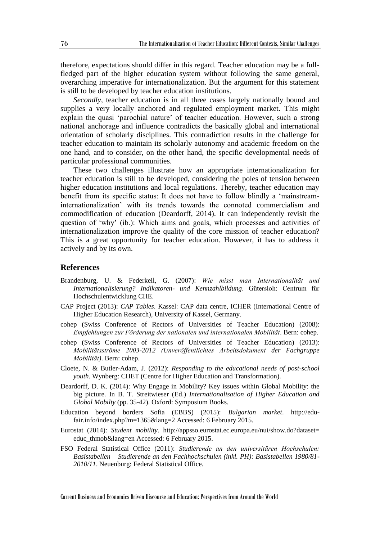therefore, expectations should differ in this regard. Teacher education may be a fullfledged part of the higher education system without following the same general, overarching imperative for internationalization. But the argument for this statement is still to be developed by teacher education institutions.

*Secondly*, teacher education is in all three cases largely nationally bound and supplies a very locally anchored and regulated employment market. This might explain the quasi 'parochial nature' of teacher education. However, such a strong national anchorage and influence contradicts the basically global and international orientation of scholarly disciplines. This contradiction results in the challenge for teacher education to maintain its scholarly autonomy and academic freedom on the one hand, and to consider, on the other hand, the specific developmental needs of particular professional communities.

These two challenges illustrate how an appropriate internationalization for teacher education is still to be developed, considering the poles of tension between higher education institutions and local regulations. Thereby, teacher education may benefit from its specific status: It does not have to follow blindly a 'mainstreaminternationalization' with its trends towards the connoted commercialism and commodification of education (Deardorff, 2014). It can independently revisit the question of 'why' (ib.): Which aims and goals, which processes and activities of internationalization improve the quality of the core mission of teacher education? This is a great opportunity for teacher education. However, it has to address it actively and by its own.

## **References**

- Brandenburg, U. & Federkeil, G. (2007): *Wie misst man Internationalität und Internationalisierung? Indikatoren- und Kennzahlbildung*. Gütersloh: Centrum für Hochschulentwicklung CHE.
- CAP Project (2013): *CAP Tables*. Kassel: CAP data centre, ICHER (International Centre of Higher Education Research), University of Kassel, Germany.
- cohep (Swiss Conference of Rectors of Universities of Teacher Education) (2008): *Empfehlungen zur Förderung der nationalen und internationalen Mobilität*. Bern: cohep.
- cohep (Swiss Conference of Rectors of Universities of Teacher Education) (2013): *Mobilitätsströme 2003-2012 (Unveröffentlichtes Arbeitsdokument der Fachgruppe Mobilität)*. Bern: cohep.
- Cloete, N. & Butler-Adam, J. (2012): *Responding to the educational needs of post-school youth*. Wynberg: CHET (Centre for Higher Education and Transformation).
- Deardorff, D. K. (2014): Why Engage in Mobility? Key issues within Global Mobility: the big picture. In B. T. Streitwieser (Ed.) *Internationalisation of Higher Education and Global Mobilty* (pp. 35-42). Oxford: Symposium Books.
- Education beyond borders Sofia (EBBS) (2015): *Bulgarian market*. http://edufair.info/index.php?m=1365&lang=2 Accessed: 6 February 2015.
- Eurostat (2014): *Student mobility*. http://appsso.eurostat.ec.europa.eu/nui/show.do?dataset= educ\_thmob&lang=en Accessed: 6 February 2015.
- FSO Federal Statistical Office (2011): *Studierende an den universitären Hochschulen: Basistabellen – Studierende an den Fachhochschulen (inkl. PH): Basistabellen 1980/81- 2010/11*. Neuenburg: Federal Statistical Office.

Current Business and Economics Driven Discourse and Education: Perspectives from Around the World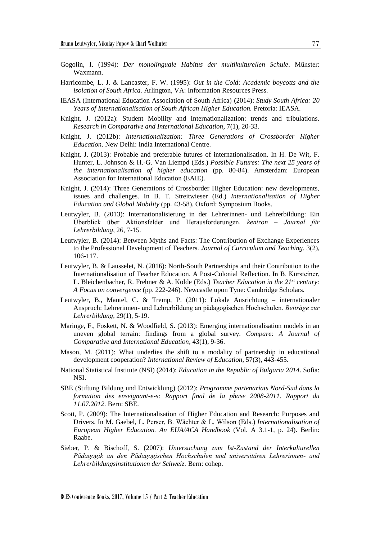- Gogolin, I. (1994): *Der monolinguale Habitus der multikulturellen Schule*. Münster: Waxmann.
- Harricombe, L. J. & Lancaster, F. W. (1995): *Out in the Cold: Academic boycotts and the isolation of South Africa.* Arlington, VA: Information Resources Press.
- IEASA (International Education Association of South Africa) (2014): *Study South Africa: 20 Years of Internationalisation of South African Higher Education.* Pretoria: IEASA.
- Knight, J. (2012a): Student Mobility and Internationalization: trends and tribulations. *Research in Comparative and International Education*, 7(1), 20-33.
- Knight, J. (2012b): *Internationalization: Three Generations of Crossborder Higher Education*. New Delhi: India International Centre.
- Knight, J. (2013): Probable and preferable futures of internationalisation. In H. De Wit, F. Hunter, L. Johnson & H.-G. Van Liempd (Eds.) *Possible Futures: The next 25 years of the internationalisation of higher education* (pp. 80-84). Amsterdam: European Association for International Education (EAIE).
- Knight, J. (2014): Three Generations of Crossborder Higher Education: new developments, issues and challenges. In B. T. Streitwieser (Ed.) *Internationalisation of Higher Education and Global Mobility* (pp. 43-58). Oxford: Symposium Books.
- Leutwyler, B. (2013): Internationalisierung in der Lehrerinnen- und Lehrerbildung: Ein Überblick über Aktionsfelder und Herausforderungen. *kentron – Journal für Lehrerbildung*, 26, 7-15.
- Leutwyler, B. (2014): Between Myths and Facts: The Contribution of Exchange Experiences to the Professional Development of Teachers. *Journal of Curriculum and Teaching*, 3(2), 106-117.
- Leutwyler, B. & Lausselet, N. (2016): North-South Partnerships and their Contribution to the Internationalisation of Teacher Education. A Post-Colonial Reflection. In B. Kürsteiner, L. Bleichenbacher, R. Frehner & A. Kolde (Eds.) *Teacher Education in the 21st century: A Focus on convergence* (pp. 222-246). Newcastle upon Tyne: Cambridge Scholars.
- Leutwyler, B., Mantel, C. & Tremp, P. (2011): Lokale Ausrichtung internationaler Anspruch: Lehrerinnen- und Lehrerbildung an pädagogischen Hochschulen. *Beiträge zur Lehrerbildung*, 29(1), 5-19.
- Maringe, F., Foskett, N. & Woodfield, S. (2013): Emerging internationalisation models in an uneven global terrain: findings from a global survey. *Compare: A Journal of Comparative and International Education*, 43(1), 9-36.
- Mason, M. (2011): What underlies the shift to a modality of partnership in educational development cooperation? *International Review of Education*, 57(3), 443-455.
- National Statistical Institute (NSI) (2014): *Education in the Republic of Bulgaria 2014*. Sofia: NSI.
- SBE (Stiftung Bildung und Entwicklung) (2012): *Programme partenariats Nord-Sud dans la formation des enseignant-e-s: Rapport final de la phase 2008-2011. Rapport du 11.07.2012*. Bern: SBE.
- Scott, P. (2009): The Internationalisation of Higher Education and Research: Purposes and Drivers. In M. Gaebel, L. Perser, B. Wächter & L. Wilson (Eds.) *Internationalisation of European Higher Education. An EUA/ACA Handbook* (Vol. A 3.1-1, p. 24). Berlin: Raabe.
- Sieber, P. & Bischoff, S. (2007): *Untersuchung zum Ist-Zustand der Interkulturellen Pädagogik an den Pädagogischen Hochschulen und universitären Lehrerinnen- und Lehrerbildungsinstitutionen der Schweiz.* Bern: cohep.

BCES Conference Books, 2017, Volume 15 / Part 2: Teacher Education